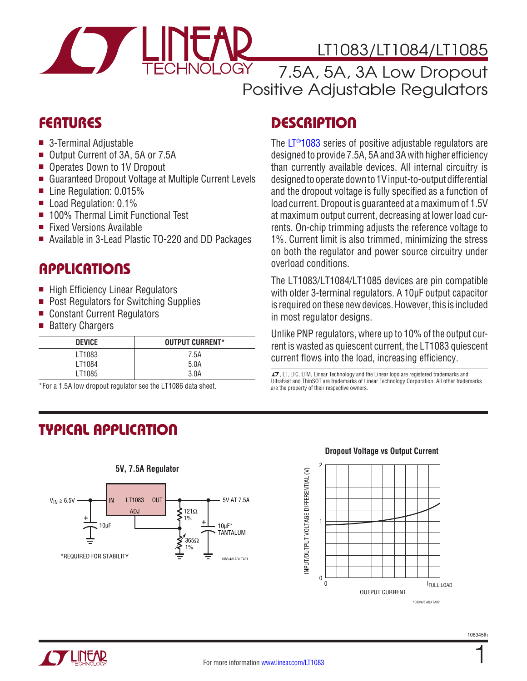

# LT1083/LT1084/LT1085

7.5A, 5A, 3A Low Dropout Positive Adjustable Regulators

### **FEATURES**

- $\blacksquare$  3-Terminal Adjustable
- Output Current of 3A, 5A or 7.5A
- Operates Down to 1V Dropout
- Guaranteed Dropout Voltage at Multiple Current Levels
- Line Regulation:  $0.015%$
- $\blacksquare$  Load Regulation: 0.1%
- 100% Thermal Limit Functional Test
- **Fixed Versions Available**
- Available in 3-Lead Plastic TO-220 and DD Packages

### **APPLICATIONS**

- High Efficiency Linear Regulators
- **Post Regulators for Switching Supplies**
- Constant Current Regulators
- Battery Chargers

| <b>DEVICE</b> | <b>OUTPUT CURRENT*</b> |
|---------------|------------------------|
| LT1083        | 7.5A                   |
| LT1084        | 5.0A                   |
| LT1085        | 3.0A                   |

\*For a 1.5A low dropout regulator see the LT1086 data sheet.

# Typical Application



# **DESCRIPTION**

The [LT®1083](http://www.linear.com/LT1083) series of positive adjustable regulators are designed to provide 7.5A, 5A and 3A with higher efficiency than currently available devices. All internal circuitry is designed to operate down to 1V input-to-output differential and the dropout voltage is fully specified as a function of load current. Dropout is guaranteed at a maximum of 1.5V at maximum output current, decreasing at lower load currents. On-chip trimming adjusts the reference voltage to 1%. Current limit is also trimmed, minimizing the stress on both the regulator and power source circuitry under overload conditions.

The LT1083/LT1084/LT1085 devices are pin compatible with older 3-terminal regulators. A 10µF output capacitor is required on these new devices. However, this is included in most regulator designs.

Unlike PNP regulators, where up to 10% of the output current is wasted as quiescent current, the LT1083 quiescent current flows into the load, increasing efficiency.

 $I$ , LT, LTC, LTM, Linear Technology and the Linear logo are registered trademarks and UltraFast and ThinSOT are trademarks of Linear Technology Corporation. All other trademarks are the property of their respective owners.

#### **Dropout Voltage vs Output Current**



1

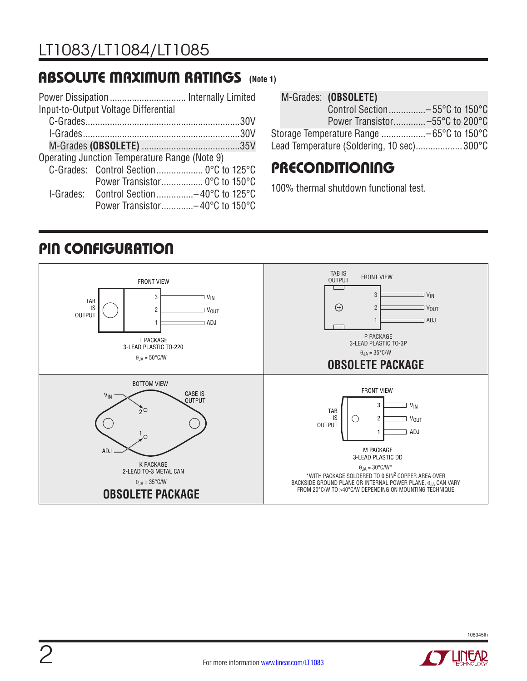### Absolute Maximum Ratings **(Note 1)**

|                                               | Input-to-Output Voltage Differential    |  |  |
|-----------------------------------------------|-----------------------------------------|--|--|
|                                               |                                         |  |  |
|                                               |                                         |  |  |
|                                               |                                         |  |  |
| Operating Junction Temperature Range (Note 9) |                                         |  |  |
|                                               | C-Grades: Control Section 0°C to 125°C  |  |  |
|                                               | Power Transistor 0°C to 150°C           |  |  |
|                                               | I-Grades: Control Section-40°C to 125°C |  |  |
|                                               | Power Transistor-40°C to 150°C          |  |  |

|  | M-Grades: (OBSOLETE)                      |  |
|--|-------------------------------------------|--|
|  | Control Section-55°C to 150°C             |  |
|  | Power Transistor-55°C to 200°C            |  |
|  |                                           |  |
|  | Lead Temperature (Soldering, 10 sec)300°C |  |

### **PRECONDITIONING**

100% thermal shutdown functional test.

# PIN CONFIGURATION



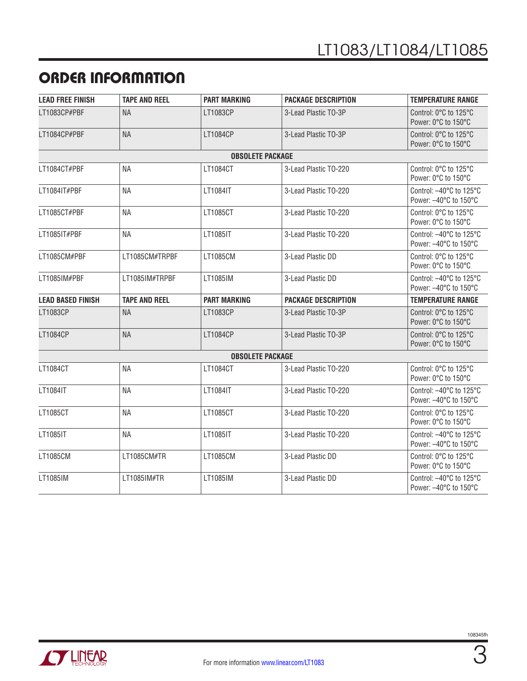## Order Information

| <b>LEAD FREE FINISH</b>  | <b>TAPE AND REEL</b> | <b>PART MARKING</b>     | <b>PACKAGE DESCRIPTION</b> | <b>TEMPERATURE RANGE</b>                                              |
|--------------------------|----------------------|-------------------------|----------------------------|-----------------------------------------------------------------------|
| LT1083CP#PBF             | <b>NA</b>            | LT1083CP                | 3-Lead Plastic TO-3P       | Control: 0°C to 125°C<br>Power: 0°C to 150°C                          |
| LT1084CP#PBF             | <b>NA</b>            | LT1084CP                | 3-Lead Plastic TO-3P       | Control: 0°C to 125°C<br>Power: 0°C to 150°C                          |
|                          |                      | <b>OBSOLETE PACKAGE</b> |                            |                                                                       |
| LT1084CT#PBF             | <b>NA</b>            | LT1084CT                | 3-Lead Plastic TO-220      | Control: 0°C to 125°C<br>Power: 0°C to 150°C                          |
| LT1084IT#PBF             | NА                   | LT1084IT                | 3-Lead Plastic TO-220      | Control: $-40^{\circ}$ C to 125 $^{\circ}$ C<br>Power: -40°C to 150°C |
| LT1085CT#PBF             | <b>NA</b>            | LT1085CT                | 3-Lead Plastic TO-220      | Control: 0°C to 125°C<br>Power: 0°C to 150°C                          |
| LT1085IT#PBF             | <b>NA</b>            | LT1085IT                | 3-Lead Plastic TO-220      | Control: -40°C to 125°C<br>Power: -40°C to 150°C                      |
| LT1085CM#PBF             | LT1085CM#TRPBF       | LT1085CM                | 3-Lead Plastic DD          | Control: 0°C to 125°C<br>Power: 0°C to 150°C                          |
| LT1085IM#PBF             | LT1085IM#TRPBF       | LT1085IM                | 3-Lead Plastic DD          | Control: -40°C to 125°C<br>Power: -40°C to 150°C                      |
| <b>LEAD BASED FINISH</b> | <b>TAPE AND REEL</b> | <b>PART MARKING</b>     | <b>PACKAGE DESCRIPTION</b> | <b>TEMPERATURE RANGE</b>                                              |
| LT1083CP                 | <b>NA</b>            | LT1083CP                | 3-Lead Plastic TO-3P       | Control: 0°C to 125°C<br>Power: 0°C to 150°C                          |
| LT1084CP                 | <b>NA</b>            | LT1084CP                | 3-Lead Plastic TO-3P       | Control: 0°C to 125°C<br>Power: 0°C to 150°C                          |
|                          |                      | <b>OBSOLETE PACKAGE</b> |                            |                                                                       |
| LT1084CT                 | <b>NA</b>            | LT1084CT                | 3-Lead Plastic TO-220      | Control: 0°C to 125°C<br>Power: 0°C to 150°C                          |
| LT1084IT                 | <b>NA</b>            | LT1084IT                | 3-Lead Plastic TO-220      | Control: -40°C to 125°C<br>Power: -40°C to 150°C                      |
| LT1085CT                 | <b>NA</b>            | LT1085CT                | 3-Lead Plastic TO-220      | Control: 0°C to 125°C<br>Power: 0°C to 150°C                          |
| LT1085IT                 | NА                   | LT1085IT                | 3-Lead Plastic TO-220      | Control: -40°C to 125°C<br>Power: -40°C to 150°C                      |
| LT1085CM                 | LT1085CM#TR          | LT1085CM                | 3-Lead Plastic DD          | Control: 0°C to 125°C<br>Power: 0°C to 150°C                          |
| LT1085IM                 | LT1085IM#TR          | LT1085IM                | 3-Lead Plastic DD          | Control: -40°C to 125°C<br>Power: -40°C to 150°C                      |

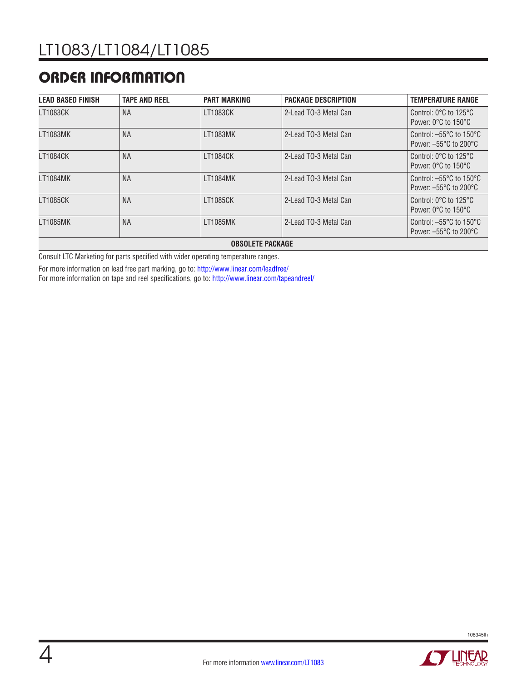### ORDER INFORMATION

| <b>LEAD BASED FINISH</b> | <b>TAPE AND REEL</b> | <b>PART MARKING</b>     | <b>PACKAGE DESCRIPTION</b> | <b>TEMPERATURE RANGE</b>                                                                   |
|--------------------------|----------------------|-------------------------|----------------------------|--------------------------------------------------------------------------------------------|
| LT1083CK                 | <b>NA</b>            | LT1083CK                | 2-Lead TO-3 Metal Can      | Control: $0^{\circ}$ C to 125 $^{\circ}$ C<br>Power: 0°C to 150°C                          |
| LT1083MK                 | <b>NA</b>            | LT1083MK                | 2-Lead TO-3 Metal Can      | Control: $-55^{\circ}$ C to 150 $^{\circ}$ C<br>Power: $-55^{\circ}$ C to 200 $^{\circ}$ C |
| LT1084CK                 | <b>NA</b>            | <b>LT1084CK</b>         | 2-Lead TO-3 Metal Can      | Control: $0^{\circ}$ C to 125 $^{\circ}$ C<br>Power: 0°C to 150°C                          |
| LT1084MK                 | <b>NA</b>            | <b>LT1084MK</b>         | 2-Lead TO-3 Metal Can      | Control: $-55^{\circ}$ C to 150 $^{\circ}$ C<br>Power: $-55^{\circ}$ C to 200 $^{\circ}$ C |
| LT1085CK                 | <b>NA</b>            | LT1085CK                | 2-Lead TO-3 Metal Can      | Control: $0^{\circ}$ C to 125 $^{\circ}$ C<br>Power: $0^{\circ}$ C to $150^{\circ}$ C      |
| LT1085MK                 | <b>NA</b>            | LT1085MK                | 2-Lead TO-3 Metal Can      | Control: $-55^{\circ}$ C to 150 $^{\circ}$ C<br>Power: $-55^{\circ}$ C to 200 $^{\circ}$ C |
|                          |                      | <b>OBSOLETE PACKAGE</b> |                            |                                                                                            |

Consult LTC Marketing for parts specified with wider operating temperature ranges.

For more information on lead free part marking, go to: http://www.linear.com/leadfree/

For more information on tape and reel specifications, go to: http://www.linear.com/tapeandreel/



**STARTISTS**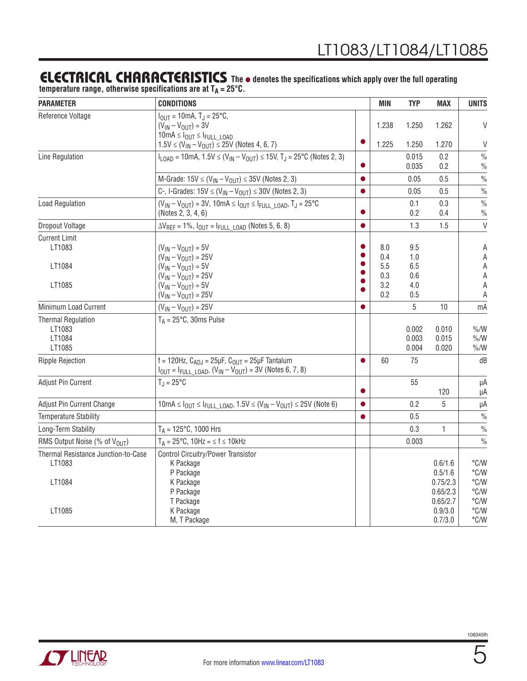### **ELECTRICAL CHARACTERISTICS** The  $\bullet$  denotes the specifications which apply over the full operating

temperature range, otherwise specifications are at T<sub>A</sub> = 25°C.

| <b>PARAMETER</b>                                        | <b>CONDITIONS</b>                                                                                                                                                         |           | <b>MIN</b>                      | <b>TYP</b>                      | <b>MAX</b>                                 | <b>UNITS</b>                           |
|---------------------------------------------------------|---------------------------------------------------------------------------------------------------------------------------------------------------------------------------|-----------|---------------------------------|---------------------------------|--------------------------------------------|----------------------------------------|
| Reference Voltage                                       | $I_{OIII}$ = 10mA, T <sub>J</sub> = 25°C,<br>$(V_{IN} - V_{OUT}) = 3V$<br>$10mA \leq l_{OUT} \leq l_{FULL}$ LOAD<br>$1.5V \le (V_{IN} - V_{OUT}) \le 25V$ (Notes 4, 6, 7) |           | 1.238<br>1.225                  | 1.250<br>1.250                  | 1.262<br>1.270                             | $\mathsf{V}$<br>$\vee$                 |
| Line Regulation                                         | $I_{\text{LOAD}}$ = 10mA, 1.5V $\leq$ (V <sub>IN</sub> – V <sub>OUT</sub> ) $\leq$ 15V, T <sub>J</sub> = 25 <sup>o</sup> C (Notes 2, 3)                                   |           |                                 | 0.015<br>0.035                  | 0.2<br>0.2                                 | $\frac{0}{0}$<br>$\frac{0}{0}$         |
|                                                         | M-Grade: $15V \le (V_{IN} - V_{OUT}) \le 35V$ (Notes 2, 3)                                                                                                                | $\bullet$ |                                 | 0.05                            | 0.5                                        | $\frac{0}{0}$                          |
|                                                         | C-, I-Grades: $15V \leq (V_{IN} - V_{OUT}) \leq 30V$ (Notes 2, 3)                                                                                                         | $\bullet$ |                                 | 0.05                            | 0.5                                        | $\%$                                   |
| <b>Load Regulation</b>                                  | $(V_{IN} - V_{OUT}) = 3V$ , 10mA $\leq I_{OUT} \leq I_{FULL}$ LOAD, $T_J = 25^{\circ}C$<br>(Notes 2, 3, 4, 6)                                                             | 0         |                                 | 0.1<br>0.2                      | 0.3<br>0.4                                 | $\frac{0}{0}$<br>$\%$                  |
| Dropout Voltage                                         | $\Delta V_{REF}$ = 1%, $I_{OUT}$ = $I_{FULL}$ LOAD (Notes 5, 6, 8)                                                                                                        | Ŏ         |                                 | 1.3                             | 1.5                                        | $\vee$                                 |
| <b>Current Limit</b><br>LT1083<br>LT1084<br>LT1085      | $(V_{IN} - V_{OUT}) = 5V$<br>$(V_{IN} - V_{OUT}) = 25V$<br>$(V_{IN} - V_{OUT}) = 5V$<br>$(V_{IN} - V_{OUT}) = 25V$<br>$(V_{IN} - V_{OUT}) = 5V$                           | $\bullet$ | 8.0<br>0.4<br>5.5<br>0.3<br>3.2 | 9.5<br>1.0<br>6.5<br>0.6<br>4.0 |                                            | Α<br>A<br>Α<br>Α<br>Α                  |
|                                                         | $(V_{IN} - V_{OUT}) = 25V$                                                                                                                                                |           | 0.2                             | 0.5                             |                                            | A                                      |
| Minimum Load Current                                    | $(V_{IN} - V_{OUT}) = 25V$                                                                                                                                                |           |                                 | 5                               | 10                                         | mA                                     |
| <b>Thermal Regulation</b><br>LT1083<br>LT1084<br>LT1085 | $T_A = 25^{\circ}C$ , 30ms Pulse                                                                                                                                          |           |                                 | 0.002<br>0.003<br>0.004         | 0.010<br>0.015<br>0.020                    | $\%$ /W<br>$\%$ /W<br>$\% / W$         |
| <b>Ripple Rejection</b>                                 | f = 120Hz, $C_{ADJ}$ = 25µF, $C_{OUT}$ = 25µF Tantalum<br>$I_{OUT} = I_{FULL\_LOAD}$ , $(V_{IN} - V_{OUT}) = 3V$ (Notes 6, 7, 8)                                          | ●         | 60                              | 75                              |                                            | dB                                     |
| Adjust Pin Current                                      | $T_{\text{J}} = 25^{\circ}C$                                                                                                                                              | 0         |                                 | 55                              | 120                                        | μA<br>μA                               |
| Adjust Pin Current Change                               | $10mA \leq I_{OUT} \leq I_{FULL\_LOAD}$ , $1.5V \leq (V_{IN} - V_{OUT}) \leq 25V$ (Note 6)                                                                                | $\bullet$ |                                 | 0.2                             | 5                                          | μA                                     |
| <b>Temperature Stability</b>                            |                                                                                                                                                                           | $\bullet$ |                                 | 0.5                             |                                            | $\frac{0}{0}$                          |
| Long-Term Stability                                     | $T_A = 125^{\circ}C$ , 1000 Hrs                                                                                                                                           |           |                                 | 0.3                             | 1                                          | $\frac{0}{0}$                          |
| RMS Output Noise (% of V <sub>OUT</sub> )               | $T_A = 25^{\circ}C$ , 10Hz = $\leq f \leq 10$ kHz                                                                                                                         |           |                                 | 0.003                           |                                            | $\frac{0}{0}$                          |
| Thermal Resistance Junction-to-Case<br>LT1083<br>LT1084 | <b>Control Circuitry/Power Transistor</b><br>K Package<br>P Package<br>K Package<br>P Package                                                                             |           |                                 |                                 | 0.6/1.6<br>0.5/1.6<br>0.75/2.3<br>0.65/2.3 | °C/W<br>°C/W<br>°C/W<br>°C/W           |
| LT1085                                                  | T Package<br>K Package<br>M, T Package                                                                                                                                    |           |                                 |                                 | 0.65/2.7<br>0.9/3.0<br>0.7/3.0             | °C/W<br>$\degree$ C/W<br>$\degree$ C/W |

5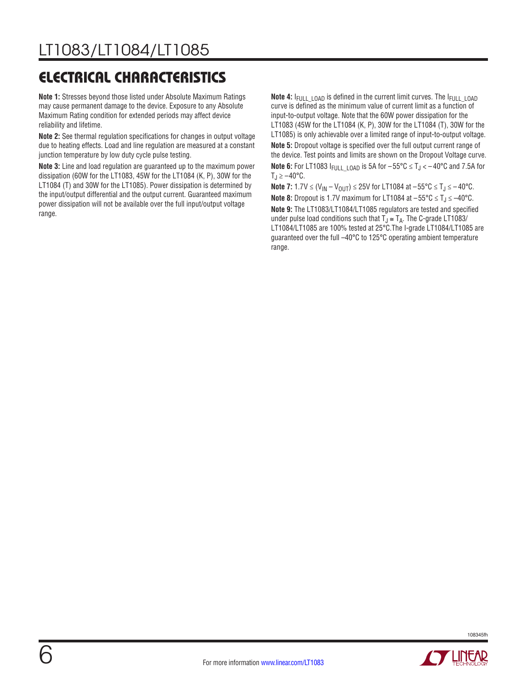# electrical characteristics

**Note 1:** Stresses beyond those listed under Absolute Maximum Ratings may cause permanent damage to the device. Exposure to any Absolute Maximum Rating condition for extended periods may affect device reliability and lifetime.

**Note 2:** See thermal regulation specifications for changes in output voltage due to heating effects. Load and line regulation are measured at a constant junction temperature by low duty cycle pulse testing.

**Note 3:** Line and load regulation are guaranteed up to the maximum power dissipation (60W for the LT1083, 45W for the LT1084 (K, P), 30W for the LT1084 (T) and 30W for the LT1085). Power dissipation is determined by the input/output differential and the output current. Guaranteed maximum power dissipation will not be available over the full input/output voltage range.

**Note 4:** I<sub>FULL</sub> LOAD is defined in the current limit curves. The I<sub>FULL</sub> LOAD curve is defined as the minimum value of current limit as a function of input-to-output voltage. Note that the 60W power dissipation for the LT1083 (45W for the LT1084 (K, P), 30W for the LT1084 (T), 30W for the LT1085) is only achievable over a limited range of input-to-output voltage. **Note 5:** Dropout voltage is specified over the full output current range of the device. Test points and limits are shown on the Dropout Voltage curve. **Note 6:** For LT1083  $I_{\text{FULL LOAD}}$  is 5A for  $-55^{\circ}$ C  $\leq T_J < -40^{\circ}$ C and 7.5A for  $T_J \ge -40^{\circ}C$ .

**Note 7:** 1.7V ≤ (V<sub>IN</sub> – V<sub>OUT</sub>) ≤ 25V for LT1084 at –55°C ≤ T<sub>J</sub> ≤ –40°C. **Note 8:** Dropout is 1.7V maximum for LT1084 at -55°C ≤ T<sub>J</sub> ≤ -40°C. **Note 9:** The LT1083/LT1084/LT1085 regulators are tested and specified under pulse load conditions such that  $T_J \cong T_A$ . The C-grade LT1083/ LT1084/LT1085 are 100% tested at 25°C.The I-grade LT1084/LT1085 are guaranteed over the full –40°C to 125°C operating ambient temperature range.



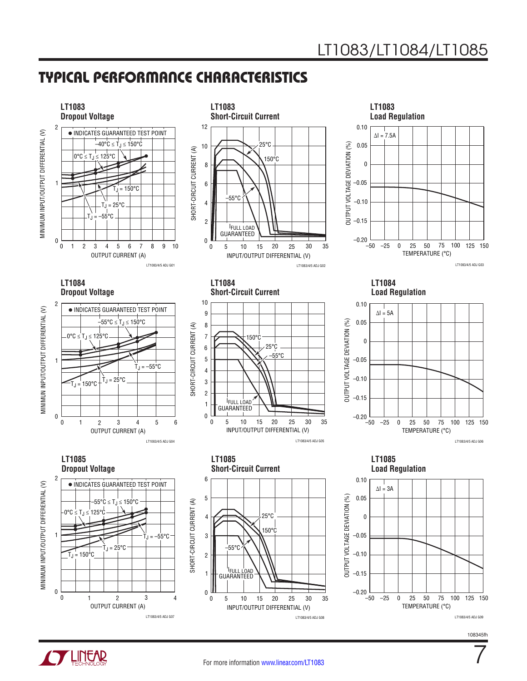7

### Typical Performance Characteristics



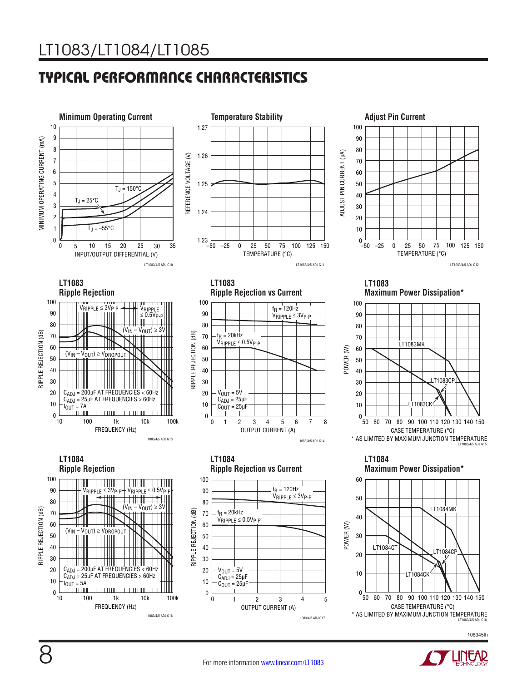# Typical Performance Characteristics















**LT1083 Maximum Power Dissipation\***



**LT1084 Ripple Rejection**100 <u> Timbul Ma</u> **THE STATE**  $\blacksquare$ 90  $V_{\sf RIPPLE} \leq 3{\sf V}_{\sf P\!-\!P} \!+\! {\sf V}_{\sf RIPPLE} \leq 0.5{\sf V}_{\sf P\!-\!P} \!+\! \left[ \left| \right|\right] \!+\! \left| \right|\left| \right|\right]$ 80  $(V_{IN} - V_{OUT}) \ge 3V$ ™ RIPPLE REJECTION (dB) RIPPLE REJECTION (dB) 70 60  $(V_{IN} - V_{OUT}) \geq V_{DROPOUT}$ 50 40 30 T T T T T T T T CADJ = 200µF AT FREQUENCIES < 60Hz 20  $C_{ADJ}$  = 25µF AT FREQUENCIES > 60Hz 10  $I_{\text{OUT}} = 5A$ **TTTTTIIL**  $1.1111111$  $0\frac{L}{10}$ 100 10 1k 10k 100k FREQUENCY (Hz) 1083/4/5 ADJ G16







108345fh

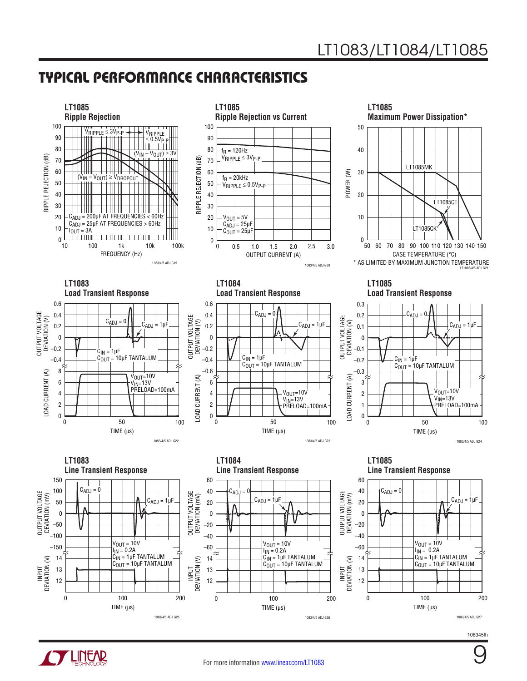### Typical Performance Characteristics



108345fh

9

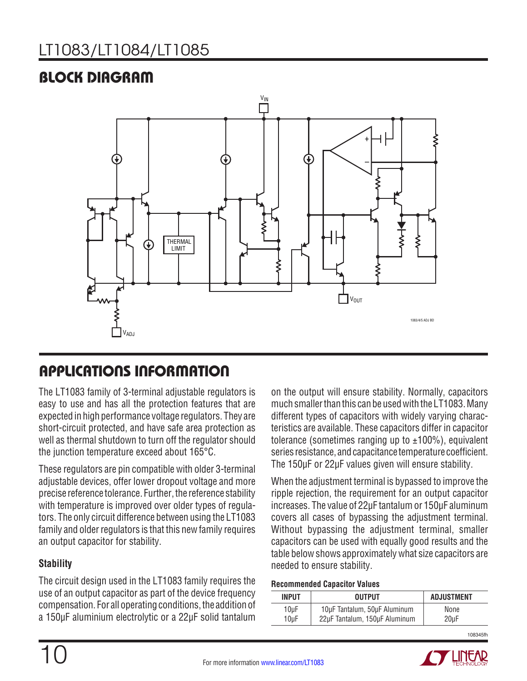# LT1083/LT1084/LT1085

### Block Diagram



### Applications Information

The LT1083 family of 3-terminal adjustable regulators is easy to use and has all the protection features that are expected in high performance voltage regulators. They are short-circuit protected, and have safe area protection as well as thermal shutdown to turn off the regulator should the junction temperature exceed about 165°C.

These regulators are pin compatible with older 3-terminal adjustable devices, offer lower dropout voltage and more precise reference tolerance. Further, the reference stability with temperature is improved over older types of regulators. The only circuit difference between using the LT1083 family and older regulators is that this new family requires an output capacitor for stability.

#### **Stability**

The circuit design used in the LT1083 family requires the use of an output capacitor as part of the device frequency compensation. For all operating conditions, the addition of a 150µF aluminium electrolytic or a 22µF solid tantalum

on the output will ensure stability. Normally, capacitors much smaller than this can be used with the LT1083. Many different types of capacitors with widely varying characteristics are available. These capacitors differ in capacitor tolerance (sometimes ranging up to  $\pm 100\%$ ), equivalent series resistance, and capacitance temperature coefficient. The 150µF or 22µF values given will ensure stability.

When the adjustment terminal is bypassed to improve the ripple rejection, the requirement for an output capacitor increases. The value of 22µF tantalum or 150µF aluminum covers all cases of bypassing the adjustment terminal. Without bypassing the adjustment terminal, smaller capacitors can be used with equally good results and the table below shows approximately what size capacitors are needed to ensure stability.

#### **Recommended Capacitor Values**

| <b>INPUT</b> | <b>OUTPUT</b>                 | <b>ADJUSTMENT</b> |
|--------------|-------------------------------|-------------------|
| $10\mu F$    | 10µF Tantalum, 50µF Aluminum  | None              |
| $10\mu F$    | 22µF Tantalum, 150µF Aluminum | 20 <sub>µ</sub> F |

108345fh

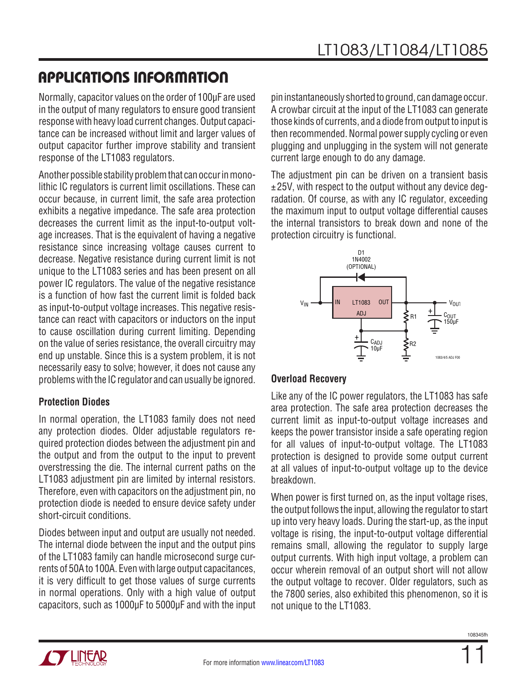## Applications Information

Normally, capacitor values on the order of 100µF are used in the output of many regulators to ensure good transient response with heavy load current changes. Output capacitance can be increased without limit and larger values of output capacitor further improve stability and transient response of the LT1083 regulators.

Another possible stability problem that can occur in monolithic IC regulators is current limit oscillations. These can occur because, in current limit, the safe area protection exhibits a negative impedance. The safe area protection decreases the current limit as the input-to-output voltage increases. That is the equivalent of having a negative resistance since increasing voltage causes current to decrease. Negative resistance during current limit is not unique to the LT1083 series and has been present on all power IC regulators. The value of the negative resistance is a function of how fast the current limit is folded back as input-to-output voltage increases. This negative resistance can react with capacitors or inductors on the input to cause oscillation during current limiting. Depending on the value of series resistance, the overall circuitry may end up unstable. Since this is a system problem, it is not necessarily easy to solve; however, it does not cause any problems with the IC regulator and can usually be ignored.

#### **Protection Diodes**

In normal operation, the LT1083 family does not need any protection diodes. Older adjustable regulators required protection diodes between the adjustment pin and the output and from the output to the input to prevent overstressing the die. The internal current paths on the LT1083 adjustment pin are limited by internal resistors. Therefore, even with capacitors on the adjustment pin, no protection diode is needed to ensure device safety under short-circuit conditions.

Diodes between input and output are usually not needed. The internal diode between the input and the output pins of the LT1083 family can handle microsecond surge currents of 50A to 100A. Even with large output capacitances, it is very difficult to get those values of surge currents in normal operations. Only with a high value of output capacitors, such as 1000µF to 5000µF and with the input pin instantaneously shorted to ground, can damage occur. A crowbar circuit at the input of the LT1083 can generate those kinds of currents, and a diode from output to input is then recommended. Normal power supply cycling or even plugging and unplugging in the system will not generate current large enough to do any damage.

The adjustment pin can be driven on a transient basis ±25V, with respect to the output without any device degradation. Of course, as with any IC regulator, exceeding the maximum input to output voltage differential causes the internal transistors to break down and none of the protection circuitry is functional.



#### **Overload Recovery**

Like any of the IC power regulators, the LT1083 has safe area protection. The safe area protection decreases the current limit as input-to-output voltage increases and keeps the power transistor inside a safe operating region for all values of input-to-output voltage. The LT1083 protection is designed to provide some output current at all values of input-to-output voltage up to the device breakdown.

When power is first turned on, as the input voltage rises, the output follows the input, allowing the regulator to start up into very heavy loads. During the start-up, as the input voltage is rising, the input-to-output voltage differential remains small, allowing the regulator to supply large output currents. With high input voltage, a problem can occur wherein removal of an output short will not allow the output voltage to recover. Older regulators, such as the 7800 series, also exhibited this phenomenon, so it is not unique to the LT1083.

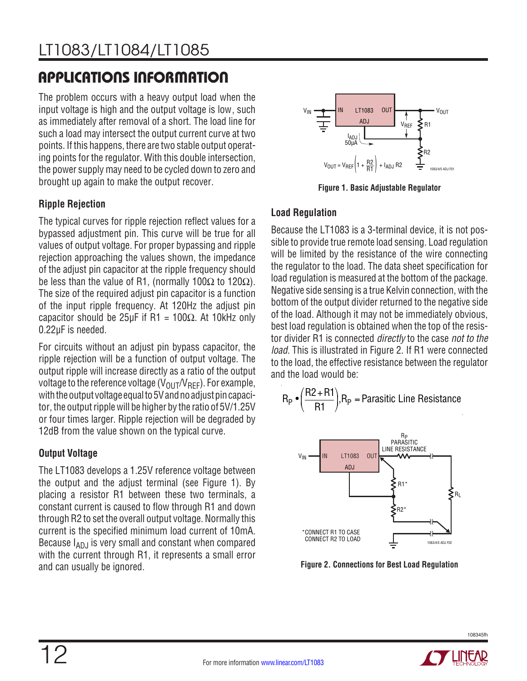# Applications Information

The problem occurs with a heavy output load when the input voltage is high and the output voltage is low, such as immediately after removal of a short. The load line for such a load may intersect the output current curve at two points. If this happens, there are two stable output operating points for the regulator. With this double intersection, the power supply may need to be cycled down to zero and brought up again to make the output recover.

### **Ripple Rejection**

The typical curves for ripple rejection reflect values for a bypassed adjustment pin. This curve will be true for all values of output voltage. For proper bypassing and ripple rejection approaching the values shown, the impedance of the adjust pin capacitor at the ripple frequency should be less than the value of R1, (normally 100 $\Omega$  to 120 $\Omega$ ). The size of the required adjust pin capacitor is a function of the input ripple frequency. At 120Hz the adjust pin capacitor should be  $25\mu$ F if R1 = 100 $\Omega$ . At 10kHz only 0.22µF is needed.

For circuits without an adjust pin bypass capacitor, the ripple rejection will be a function of output voltage. The output ripple will increase directly as a ratio of the output voltage to the reference voltage  $(V_{OUT}/V_{BFF})$ . For example, with the output voltage equal to 5V and no adjust pin capacitor, the output ripple will be higher by the ratio of 5V/1.25V or four times larger. Ripple rejection will be degraded by 12dB from the value shown on the typical curve.

### **Output Voltage**

The LT1083 develops a 1.25V reference voltage between the output and the adjust terminal (see Figure 1). By placing a resistor R1 between these two terminals, a constant current is caused to flow through R1 and down through R2 to set the overall output voltage. Normally this current is the specified minimum load current of 10mA. Because  $I_{ADJ}$  is very small and constant when compared with the current through R1, it represents a small error and can usually be ignored.



**Figure 1. Basic Adjustable Regulator**

### **Load Regulation**

Because the LT1083 is a 3-terminal device, it is not possible to provide true remote load sensing. Load regulation will be limited by the resistance of the wire connecting the regulator to the load. The data sheet specification for load regulation is measured at the bottom of the package. Negative side sensing is a true Kelvin connection, with the bottom of the output divider returned to the negative side of the load. Although it may not be immediately obvious, best load regulation is obtained when the top of the resistor divider R1 is connected *directly* to the case *not to the load.* This is illustrated in Figure 2. If R1 were connected to the load, the effective resistance between the regulator and the load would be:

$$
R_P \bullet \left(\frac{R2 + R1}{R1}\right), R_P = \text{Parasitic Line Resistance}
$$



**Figure 2. Connections for Best Load Regulation**



108345fh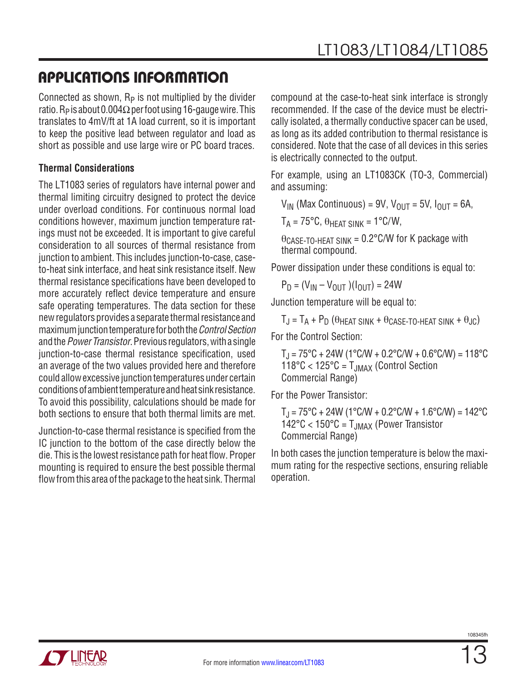### Applications Information

Connected as shown,  $R_P$  is not multiplied by the divider ratio. R<sub>P</sub> is about 0.004 $\Omega$  per foot using 16-gauge wire. This translates to 4mV/ft at 1A load current, so it is important to keep the positive lead between regulator and load as short as possible and use large wire or PC board traces.

#### **Thermal Considerations**

The LT1083 series of regulators have internal power and thermal limiting circuitry designed to protect the device under overload conditions. For continuous normal load conditions however, maximum junction temperature ratings must not be exceeded. It is important to give careful consideration to all sources of thermal resistance from junction to ambient. This includes junction-to-case, caseto-heat sink interface, and heat sink resistance itself. New thermal resistance specifications have been developed to more accurately reflect device temperature and ensure safe operating temperatures. The data section for these new regulators provides a separate thermal resistance and maximum junction temperature for both the *ControlSection* and the *Power Transistor*. Previous regulators, with a single junction-to-case thermal resistance specification, used an average of the two values provided here and therefore could allow excessive junction temperatures under certain conditions of ambient temperature and heat sink resistance. To avoid this possibility, calculations should be made for both sections to ensure that both thermal limits are met.

Junction-to-case thermal resistance is specified from the IC junction to the bottom of the case directly below the die. This is the lowest resistance path for heat flow. Proper mounting is required to ensure the best possible thermal flow from this area of the package to the heat sink. Thermal compound at the case-to-heat sink interface is strongly recommended. If the case of the device must be electrically isolated, a thermally conductive spacer can be used, as long as its added contribution to thermal resistance is considered. Note that the case of all devices in this series is electrically connected to the output.

For example, using an LT1083CK (TO-3, Commercial) and assuming:

 $V_{IN}$  (Max Continuous) = 9V,  $V_{OIII}$  = 5V,  $I_{OIII}$  = 6A,

 $T_A = 75^{\circ}C$ ,  $\theta$ HFAT SINK = 1°C/W,

 $\theta$ CASE-TO-HEAT SINK = 0.2°C/W for K package with thermal compound.

Power dissipation under these conditions is equal to:

 $P_D = (V_{IN} - V_{OUIT}) (I_{OUIT}) = 24W$ 

Junction temperature will be equal to:

 $T_J = T_A + P_D$  ( $\theta$ heat sink +  $\theta$ case-to-heat sink +  $\theta_{JC}$ ) For the Control Section:

 $T_J = 75^{\circ}C + 24W (1^{\circ}C/W + 0.2^{\circ}C/W + 0.6^{\circ}C/W) = 118^{\circ}C$  $118^{\circ}$ C <  $125^{\circ}$ C =  $T_{JMAX}$  (Control Section Commercial Range)

For the Power Transistor:

 $T_J = 75^{\circ}C + 24W (1^{\circ}C/W + 0.2^{\circ}C/W + 1.6^{\circ}C/W) = 142^{\circ}C$ 142°C < 150°C = TJMAX (Power Transistor Commercial Range)

In both cases the junction temperature is below the maximum rating for the respective sections, ensuring reliable operation.

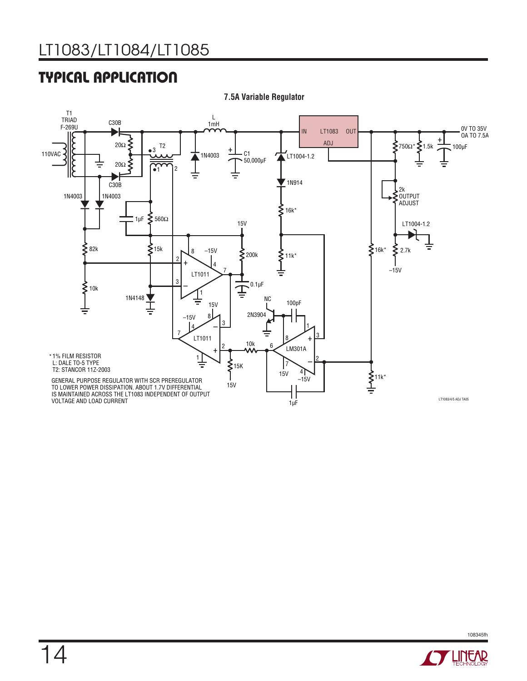# Typical Application



**7.5A Variable Regulator**



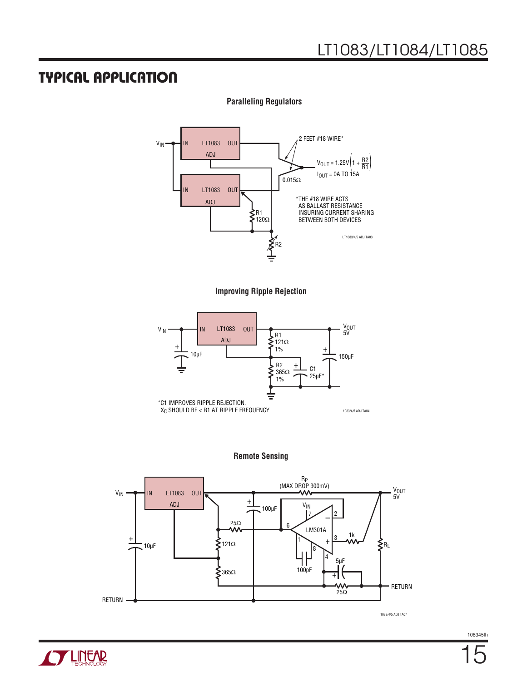### Typical Application



**Paralleling Regulators**

**Improving Ripple Rejection**



#### **Remote Sensing**



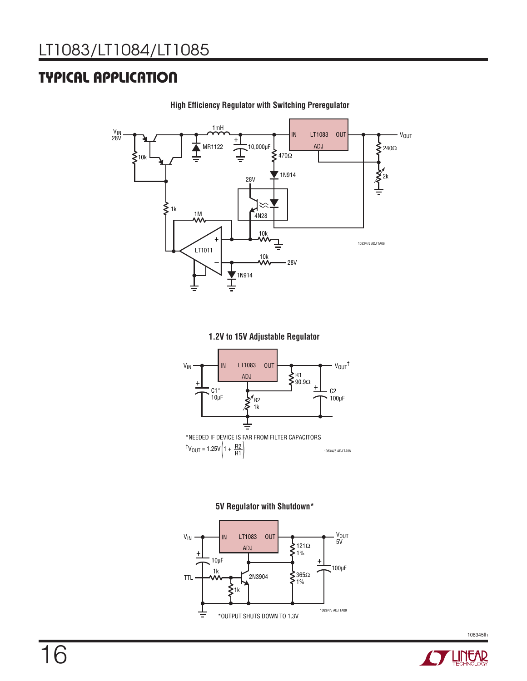### Typical Application



**High Efficiency Regulator with Switching Preregulator**

**1.2V to 15V Adjustable Regulator**



1083/4/5 ADJ TA08  $t_{V_{OUT}} = 1.25V \left( 1 + \frac{R2}{R1} \right)$ 





108345fh

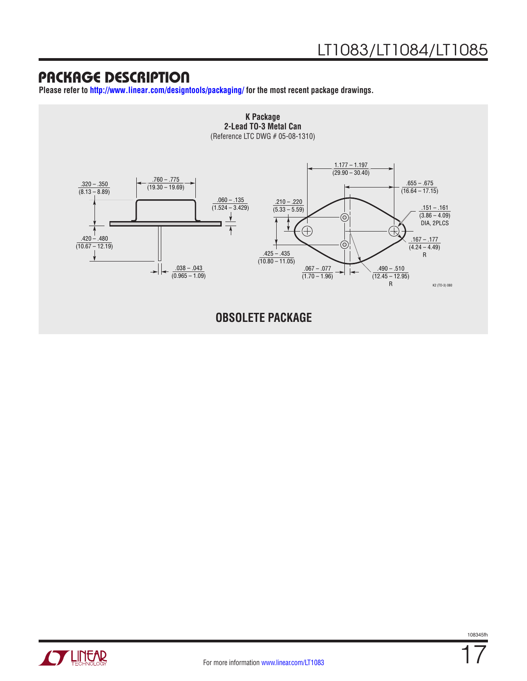**Please refer to <http://www.linear.com/designtools/packaging/>for the most recent package drawings.**



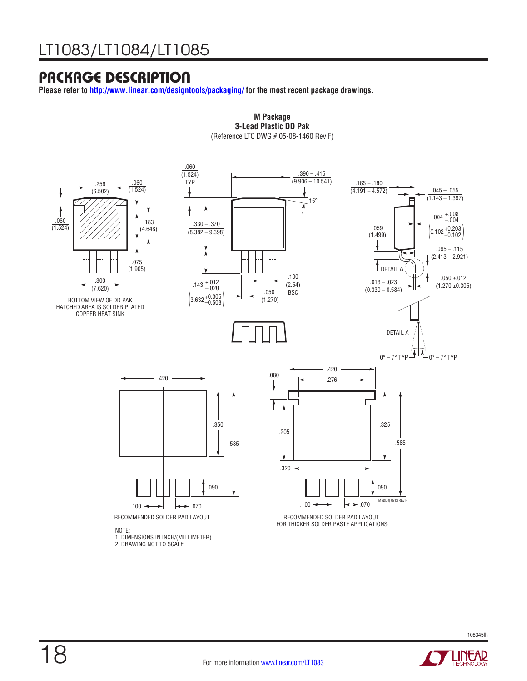**Please refer to<http://www.linear.com/designtools/packaging/> for the most recent package drawings.**



**M Package M Package 3-Lead Plastic DD Pak 3-Lead Plastic DD Pak** (Reference LTC DWG # 05-08-1460 Rev F) (Reference LTC DWG # 05-08-1460 Rev F)

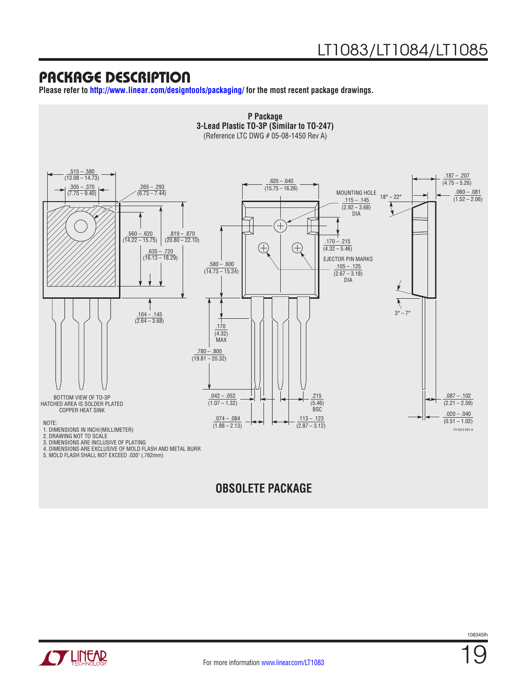**Please refer to <http://www.linear.com/designtools/packaging/>for the most recent package drawings.**



### **OBSOLETE PACKAGE**

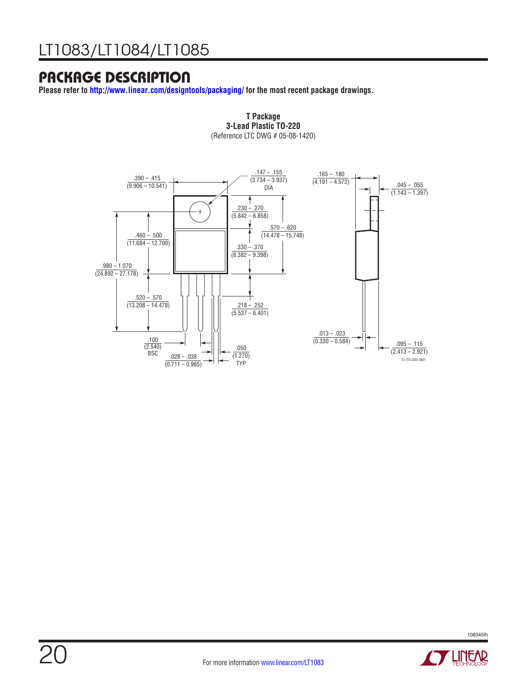**Please refer to<http://www.linear.com/designtools/packaging/> for the most recent package drawings.**



**T Package 3-Lead Plastic TO-220 T Package** (Reference LTC DWG # 05-08-1420) **3-Lead Plastic TO-220**





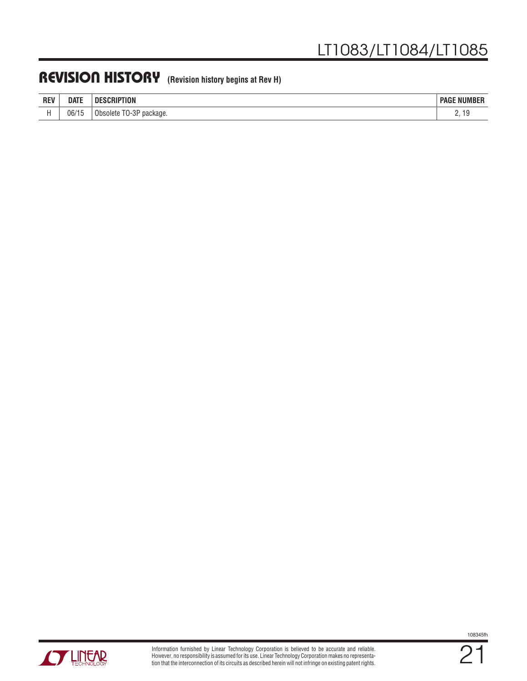### REVISION HISTORY (Revision history begins at Rev H)

| <b>REV</b> | <b>DATE</b>  | CRIPTION<br>SCRIP<br>יי         | <b>NUMBER</b><br>PAGF                |
|------------|--------------|---------------------------------|--------------------------------------|
|            | 06/15<br>. . | $TO-3P$<br>package.<br>Obsolete | <u>.</u><br>$\overline{\phantom{a}}$ |